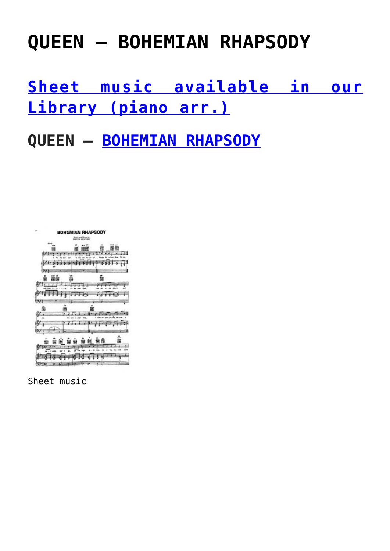# **[QUEEN – BOHEMIAN RHAPSODY](https://sheetmusiclibrary.website/2021/11/28/queen-sheet-music/)**

# **[Sheet music available in our](https://sheetmusiclibrary.website/) [Library \(piano arr.\)](https://sheetmusiclibrary.website/)**

### **QUEEN – [BOHEMIAN RHAPSODY](https://www.youtube.com/watch?v=fJ9rUzIMcZQ)**



Sheet music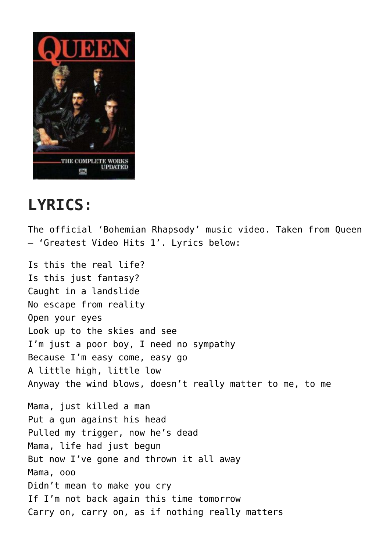

## **LYRICS:**

The official 'Bohemian Rhapsody' music video. Taken from Queen – 'Greatest Video Hits 1'. Lyrics below:

Is this the real life? Is this just fantasy? Caught in a landslide No escape from reality Open your eyes Look up to the skies and see I'm just a poor boy, I need no sympathy Because I'm easy come, easy go A little high, little low Anyway the wind blows, doesn't really matter to me, to me Mama, just killed a man

Put a gun against his head Pulled my trigger, now he's dead Mama, life had just begun But now I've gone and thrown it all away Mama, ooo Didn't mean to make you cry If I'm not back again this time tomorrow Carry on, carry on, as if nothing really matters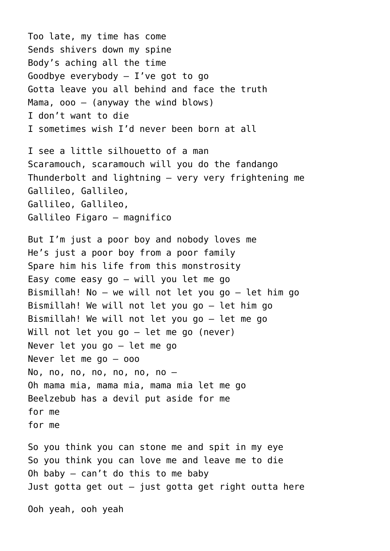Too late, my time has come Sends shivers down my spine Body's aching all the time Goodbye everybody – I've got to go Gotta leave you all behind and face the truth Mama,  $000 -$  (anyway the wind blows) I don't want to die I sometimes wish I'd never been born at all I see a little silhouetto of a man Scaramouch, scaramouch will you do the fandango Thunderbolt and lightning – very very frightening me Gallileo, Gallileo, Gallileo, Gallileo, Gallileo Figaro – magnifico But I'm just a poor boy and nobody loves me He's just a poor boy from a poor family Spare him his life from this monstrosity Easy come easy go – will you let me go Bismillah! No – we will not let you go – let him go Bismillah! We will not let you go – let him go Bismillah! We will not let you go – let me go Will not let you go – let me go (never) Never let you go – let me go Never let me go – ooo No, no, no, no, no, no, no – Oh mama mia, mama mia, mama mia let me go Beelzebub has a devil put aside for me for me for me So you think you can stone me and spit in my eye So you think you can love me and leave me to die Oh baby – can't do this to me baby Just gotta get out – just gotta get right outta here Ooh yeah, ooh yeah